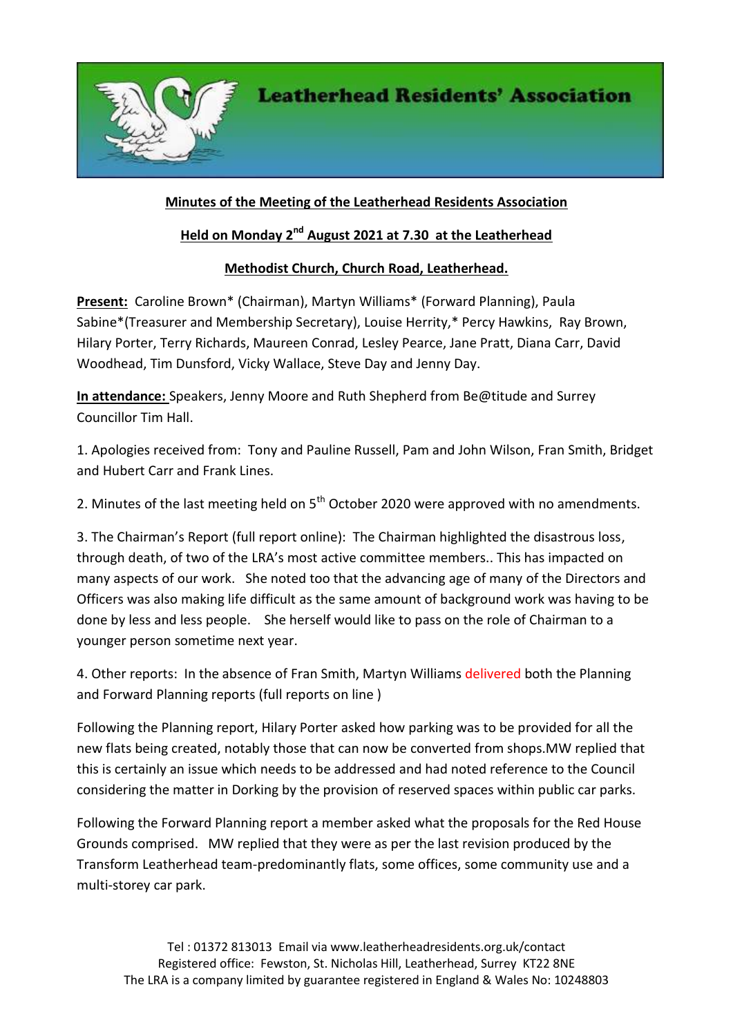

## **Minutes of the Meeting of the Leatherhead Residents Association**

## **Held on Monday 2nd August 2021 at 7.30 at the Leatherhead**

## **Methodist Church, Church Road, Leatherhead.**

**Present:** Caroline Brown\* (Chairman), Martyn Williams\* (Forward Planning), Paula Sabine\*(Treasurer and Membership Secretary), Louise Herrity,\* Percy Hawkins, Ray Brown, Hilary Porter, Terry Richards, Maureen Conrad, Lesley Pearce, Jane Pratt, Diana Carr, David Woodhead, Tim Dunsford, Vicky Wallace, Steve Day and Jenny Day.

**In attendance:** Speakers, Jenny Moore and Ruth Shepherd from Be@titude and Surrey Councillor Tim Hall.

1. Apologies received from: Tony and Pauline Russell, Pam and John Wilson, Fran Smith, Bridget and Hubert Carr and Frank Lines.

2. Minutes of the last meeting held on 5<sup>th</sup> October 2020 were approved with no amendments.

3. The Chairman's Report (full report online): The Chairman highlighted the disastrous loss, through death, of two of the LRA's most active committee members.. This has impacted on many aspects of our work. She noted too that the advancing age of many of the Directors and Officers was also making life difficult as the same amount of background work was having to be done by less and less people. She herself would like to pass on the role of Chairman to a younger person sometime next year.

4. Other reports: In the absence of Fran Smith, Martyn Williams delivered both the Planning and Forward Planning reports (full reports on line )

Following the Planning report, Hilary Porter asked how parking was to be provided for all the new flats being created, notably those that can now be converted from shops.MW replied that this is certainly an issue which needs to be addressed and had noted reference to the Council considering the matter in Dorking by the provision of reserved spaces within public car parks.

Following the Forward Planning report a member asked what the proposals for the Red House Grounds comprised. MW replied that they were as per the last revision produced by the Transform Leatherhead team-predominantly flats, some offices, some community use and a multi-storey car park.